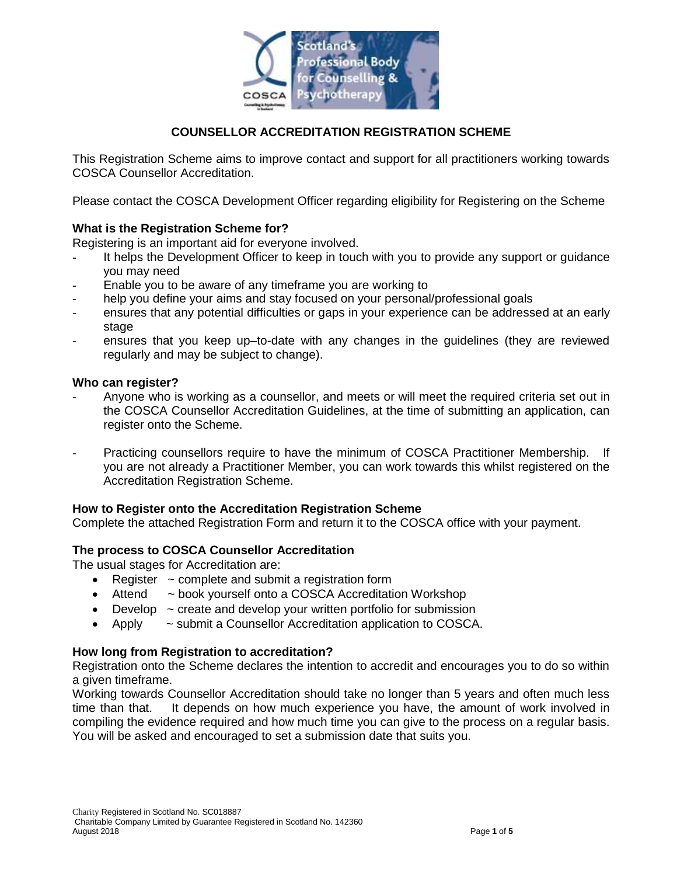

### **COUNSELLOR ACCREDITATION REGISTRATION SCHEME**

This Registration Scheme aims to improve contact and support for all practitioners working towards COSCA Counsellor Accreditation.

Please contact the COSCA Development Officer regarding eligibility for Registering on the Scheme

#### **What is the Registration Scheme for?**

Registering is an important aid for everyone involved.

- It helps the Development Officer to keep in touch with you to provide any support or guidance you may need
- Enable you to be aware of any timeframe you are working to
- help you define your aims and stay focused on your personal/professional goals
- ensures that any potential difficulties or gaps in your experience can be addressed at an early stage
- ensures that you keep up–to-date with any changes in the guidelines (they are reviewed regularly and may be subject to change).

#### **Who can register?**

- Anyone who is working as a counsellor, and meets or will meet the required criteria set out in the COSCA Counsellor Accreditation Guidelines, at the time of submitting an application, can register onto the Scheme.
- Practicing counsellors require to have the minimum of COSCA Practitioner Membership. If you are not already a Practitioner Member, you can work towards this whilst registered on the Accreditation Registration Scheme.

#### **How to Register onto the Accreditation Registration Scheme**

Complete the attached Registration Form and return it to the COSCA office with your payment.

#### **The process to COSCA Counsellor Accreditation**

The usual stages for Accreditation are:

- Register  $\sim$  complete and submit a registration form
- Attend ~ book yourself onto a COSCA Accreditation Workshop
- Develop  $\sim$  create and develop your written portfolio for submission
- Apply  $\sim$  submit a Counsellor Accreditation application to COSCA.

#### **How long from Registration to accreditation?**

Registration onto the Scheme declares the intention to accredit and encourages you to do so within a given timeframe.

Working towards Counsellor Accreditation should take no longer than 5 years and often much less time than that. It depends on how much experience you have, the amount of work involved in compiling the evidence required and how much time you can give to the process on a regular basis. You will be asked and encouraged to set a submission date that suits you.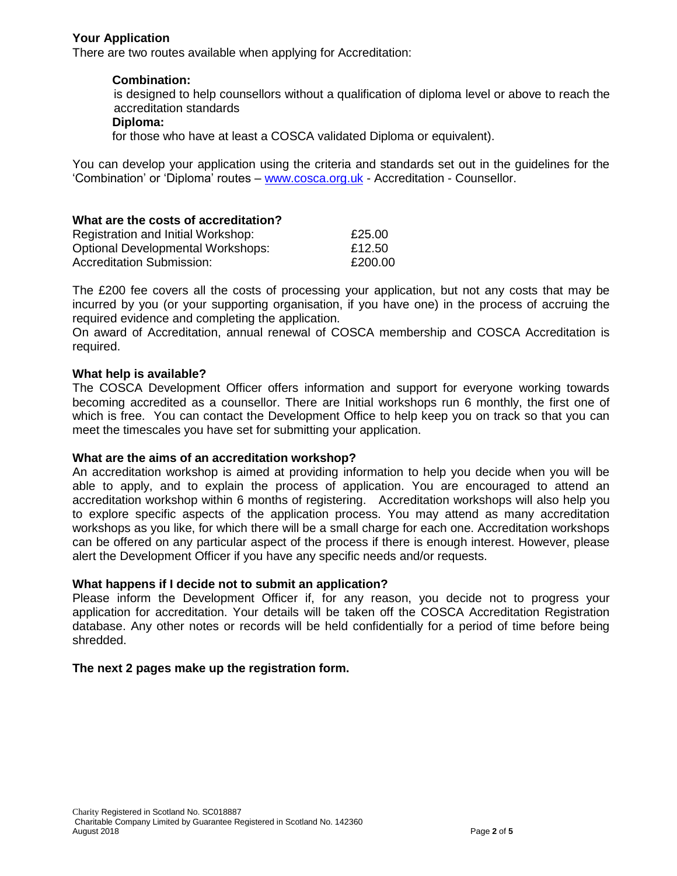#### **Your Application**

There are two routes available when applying for Accreditation:

#### **Combination:**

is designed to help counsellors without a qualification of diploma level or above to reach the accreditation standards

#### **Diploma:**

for those who have at least a COSCA validated Diploma or equivalent).

You can develop your application using the criteria and standards set out in the guidelines for the 'Combination' or 'Diploma' routes – [www.cosca.org.uk](http://www.cosca.org.uk/) - Accreditation - Counsellor.

#### **What are the costs of accreditation?**

| Registration and Initial Workshop:       | £25.00  |
|------------------------------------------|---------|
| <b>Optional Developmental Workshops:</b> | £12.50  |
| <b>Accreditation Submission:</b>         | £200.00 |

The £200 fee covers all the costs of processing your application, but not any costs that may be incurred by you (or your supporting organisation, if you have one) in the process of accruing the required evidence and completing the application.

On award of Accreditation, annual renewal of COSCA membership and COSCA Accreditation is required.

#### **What help is available?**

The COSCA Development Officer offers information and support for everyone working towards becoming accredited as a counsellor. There are Initial workshops run 6 monthly, the first one of which is free. You can contact the Development Office to help keep you on track so that you can meet the timescales you have set for submitting your application.

#### **What are the aims of an accreditation workshop?**

An accreditation workshop is aimed at providing information to help you decide when you will be able to apply, and to explain the process of application. You are encouraged to attend an accreditation workshop within 6 months of registering. Accreditation workshops will also help you to explore specific aspects of the application process. You may attend as many accreditation workshops as you like, for which there will be a small charge for each one. Accreditation workshops can be offered on any particular aspect of the process if there is enough interest. However, please alert the Development Officer if you have any specific needs and/or requests.

#### **What happens if I decide not to submit an application?**

Please inform the Development Officer if, for any reason, you decide not to progress your application for accreditation. Your details will be taken off the COSCA Accreditation Registration database. Any other notes or records will be held confidentially for a period of time before being shredded.

#### **The next 2 pages make up the registration form.**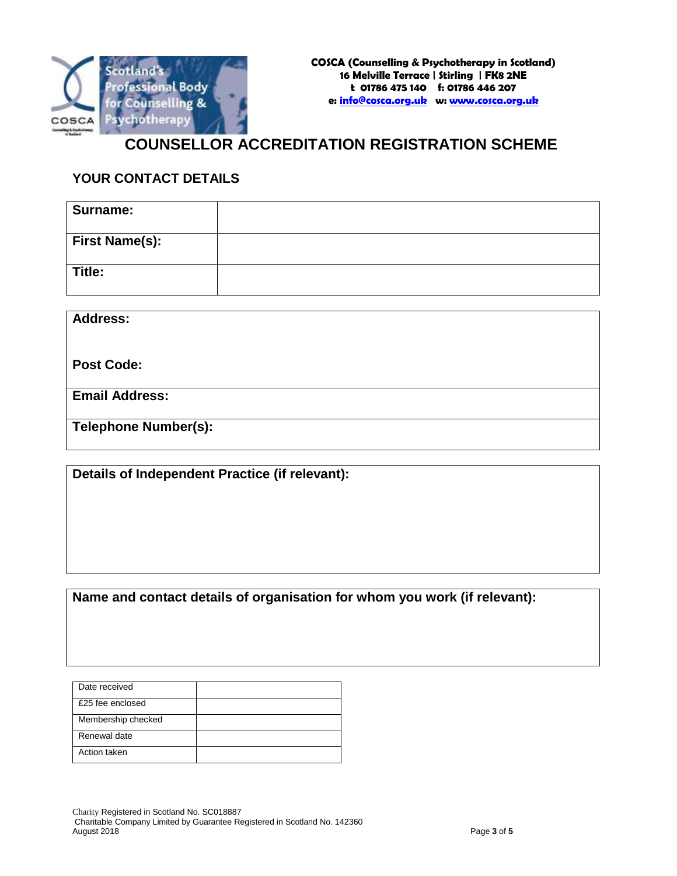

# **COUNSELLOR ACCREDITATION REGISTRATION SCHEME**

# **YOUR CONTACT DETAILS**

| <b>Surname:</b>       |  |
|-----------------------|--|
| <b>First Name(s):</b> |  |
| Title:                |  |

**Address:**

**Post Code:**

**Email Address:**

**Telephone Number(s):**

**Details of Independent Practice (if relevant):**

**Name and contact details of organisation for whom you work (if relevant):**

| Date received      |  |
|--------------------|--|
| £25 fee enclosed   |  |
| Membership checked |  |
| Renewal date       |  |
| Action taken       |  |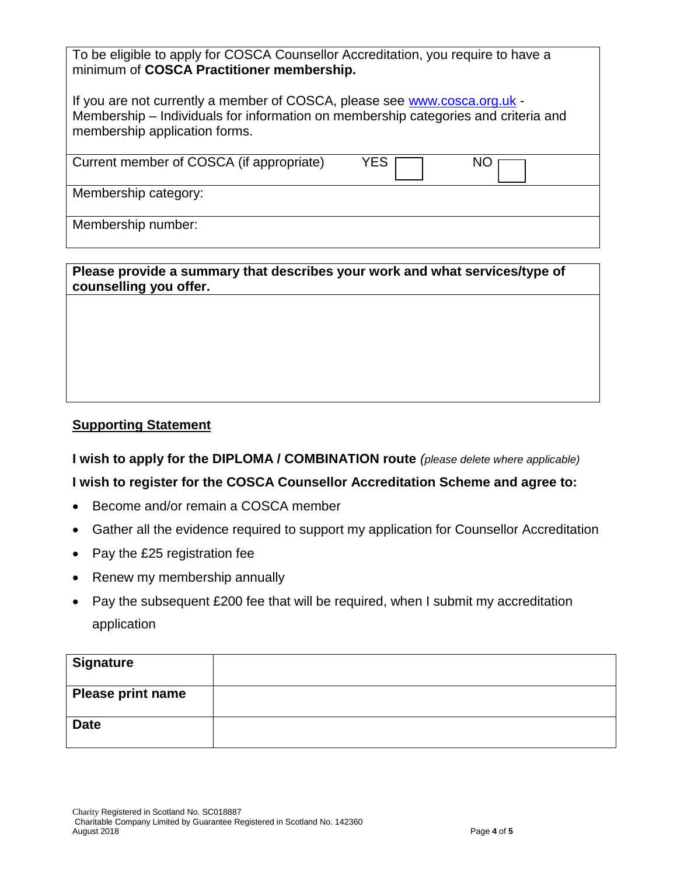| To be eligible to apply for COSCA Counsellor Accreditation, you require to have a |
|-----------------------------------------------------------------------------------|
| minimum of COSCA Practitioner membership.                                         |

| If you are not currently a member of COSCA, please see www.cosca.org.uk -          |
|------------------------------------------------------------------------------------|
| Membership – Individuals for information on membership categories and criteria and |
| membership application forms.                                                      |

| Current member of COSCA (if appropriate) | YES. | NC |
|------------------------------------------|------|----|
| Membership category:                     |      |    |
|                                          |      |    |
|                                          |      |    |
| Membership number:                       |      |    |
|                                          |      |    |

**Please provide a summary that describes your work and what services/type of counselling you offer.**

## **Supporting Statement**

**I wish to apply for the DIPLOMA / COMBINATION route** *(please delete where applicable)*

## **I wish to register for the COSCA Counsellor Accreditation Scheme and agree to:**

- Become and/or remain a COSCA member
- Gather all the evidence required to support my application for Counsellor Accreditation
- Pay the £25 registration fee
- Renew my membership annually
- Pay the subsequent £200 fee that will be required, when I submit my accreditation application

| <b>Signature</b>         |  |
|--------------------------|--|
| <b>Please print name</b> |  |
| <b>Date</b>              |  |